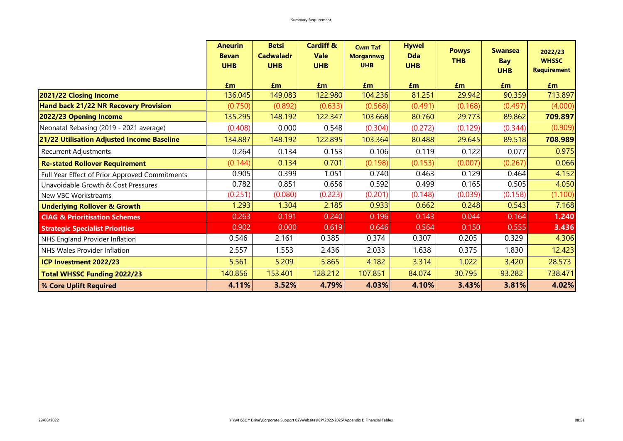|                                                | <b>Aneurin</b><br><b>Bevan</b><br><b>UHB</b> | <b>Betsi</b><br><b>Cadwaladr</b><br><b>UHB</b> | <b>Cardiff &amp;</b><br><b>Vale</b><br><b>UHB</b> | <b>Cwm Taf</b><br><b>Morgannwg</b><br><b>UHB</b> | <b>Hywel</b><br><b>Dda</b><br><b>UHB</b> | <b>Powys</b><br><b>THB</b> | <b>Swansea</b><br>Bay<br><b>UHB</b> | 2022/23<br><b>WHSSC</b><br><b>Requirement</b> |
|------------------------------------------------|----------------------------------------------|------------------------------------------------|---------------------------------------------------|--------------------------------------------------|------------------------------------------|----------------------------|-------------------------------------|-----------------------------------------------|
|                                                | Em                                           | £m                                             | £m                                                | £m                                               | £m                                       | £m                         | £m                                  | £m                                            |
| 2021/22 Closing Income                         | 136.045                                      | 149.083                                        | 122.980                                           | 104.236                                          | 81.251                                   | 29.942                     | 90.359                              | 713.897                                       |
| <b>Hand back 21/22 NR Recovery Provision</b>   | (0.750)                                      | (0.892)                                        | (0.633)                                           | (0.568)                                          | (0.491)                                  | (0.168)                    | (0.497)                             | (4.000)                                       |
| 2022/23 Opening Income                         | 135.295                                      | 148.192                                        | 122.347                                           | 103.668                                          | 80.760                                   | 29.773                     | 89.862                              | 709.897                                       |
| Neonatal Rebasing (2019 - 2021 average)        | (0.408)                                      | 0.000                                          | 0.548                                             | (0.304)                                          | (0.272)                                  | (0.129)                    | (0.344)                             | (0.909)                                       |
| 21/22 Utilisation Adjusted Income Baseline     | 134.887                                      | 148.192                                        | 122.895                                           | 103.364                                          | 80.488                                   | 29.645                     | 89.518                              | 708.989                                       |
| <b>Recurrent Adjustments</b>                   | 0.264                                        | 0.134                                          | 0.153                                             | 0.106                                            | 0.119                                    | 0.122                      | 0.077                               | 0.975                                         |
| <b>Re-stated Rollover Requirement</b>          | (0.144)                                      | 0.134                                          | 0.701                                             | (0.198)                                          | (0.153)                                  | (0.007)                    | (0.267)                             | 0.066                                         |
| Full Year Effect of Prior Approved Commitments | 0.905                                        | 0.399                                          | 1.051                                             | 0.740                                            | 0.463                                    | 0.129                      | 0.464                               | 4.152                                         |
| Unavoidable Growth & Cost Pressures            | 0.782                                        | 0.851                                          | 0.656                                             | 0.592                                            | 0.499                                    | 0.165                      | 0.505                               | 4.050                                         |
| New VBC Workstreams                            | (0.251)                                      | (0.080)                                        | (0.223)                                           | (0.201)                                          | (0.148)                                  | (0.039)                    | (0.158)                             | (1.100)                                       |
| <b>Underlying Rollover &amp; Growth</b>        | 1.293                                        | 1.304                                          | 2.185                                             | 0.933                                            | 0.662                                    | 0.248                      | 0.543                               | 7.168                                         |
| <b>CIAG &amp; Prioritisation Schemes</b>       | 0.263                                        | 0.191                                          | 0.240                                             | 0.196                                            | 0.143                                    | 0.044                      | 0.164                               | 1.240                                         |
| <b>Strategic Specialist Priorities</b>         | 0.902                                        | 0.000                                          | 0.619                                             | 0.646                                            | 0.564                                    | 0.150                      | 0.555                               | 3.436                                         |
| NHS England Provider Inflation                 | 0.546                                        | 2.161                                          | 0.385                                             | 0.374                                            | 0.307                                    | 0.205                      | 0.329                               | 4.306                                         |
| NHS Wales Provider Inflation                   | 2.557                                        | 1.553                                          | 2.436                                             | 2.033                                            | 1.638                                    | 0.375                      | 1.830                               | 12.423                                        |
| ICP Investment 2022/23                         | 5.561                                        | 5.209                                          | 5.865                                             | 4.182                                            | 3.314                                    | 1.022                      | 3.420                               | 28.573                                        |
| <b>Total WHSSC Funding 2022/23</b>             | 140.856                                      | 153.401                                        | 128.212                                           | 107.851                                          | 84.074                                   | 30.795                     | 93.282                              | 738.471                                       |
| % Core Uplift Required                         | 4.11%                                        | 3.52%                                          | 4.79%                                             | 4.03%                                            | 4.10%                                    | 3.43%                      | 3.81%                               | 4.02%                                         |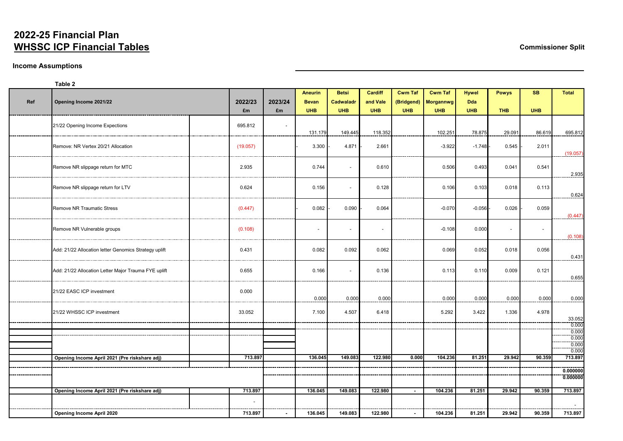# **2022-25 Financial Plan WHSSC ICP Financial Tables Commissioner Split**

## **Income Assumptions**

## **Table 2**

|     |                                                       |                |         | <b>Aneurin</b> | <b>Betsi</b>             | <b>Cardiff</b>           | <b>Cwm Taf</b> | <b>Cwm Taf</b>         | <b>Hywel</b> | <b>Powys</b> | <b>SB</b>      | <b>Total</b>          |
|-----|-------------------------------------------------------|----------------|---------|----------------|--------------------------|--------------------------|----------------|------------------------|--------------|--------------|----------------|-----------------------|
| Ref | Opening Income 2021/22                                | 2022/23        | 2023/24 | <b>Bevan</b>   | <b>Cadwaladr</b>         | and Vale                 |                | (Bridgend)   Morgannwg | <b>Dda</b>   |              |                |                       |
|     |                                                       | £m             | £m      | <b>UHB</b>     | <b>UHB</b>               | <b>UHB</b>               | <b>UHB</b>     | <b>UHB</b>             | <b>UHB</b>   | <b>THB</b>   | <b>UHB</b>     |                       |
|     | 21/22 Opening Income Expections                       | 695.812        |         |                |                          |                          |                |                        |              |              |                |                       |
|     |                                                       |                |         | 131.179        | 149.445                  | 118.352                  |                | 102.251                | 78.875       | 29.091       | 86.619         | 695.812               |
|     | Remove: NR Vertex 20/21 Allocation                    | (19.057)       |         | 3.300          | 4.871                    | 2.661                    |                | $-3.922$               | $-1.748$ -   | 0.545        | 2.011          | (19.057)              |
|     | Remove NR slippage return for MTC                     | 2.935          |         | 0.744          | $\sim$                   | 0.610                    |                | 0.506                  | 0.493        | 0.041        | 0.541          | 2.935                 |
|     | Remove NR slippage return for LTV                     | 0.624          |         | 0.156          | $\blacksquare$           | 0.128                    |                | 0.106                  | 0.103        | 0.018        | 0.113          | 0.624                 |
|     | <b>Remove NR Traumatic Stress</b>                     | (0.447)        |         | 0.082          | 0.090                    | 0.064                    |                | $-0.070$               | $-0.056$ -   | 0.026        | 0.059          | (0.447)               |
|     | Remove NR Vulnerable groups                           | (0.108)        |         | $\sim$         | $\overline{\phantom{a}}$ | $\overline{\phantom{a}}$ |                | $-0.108$               | 0.000        |              | $\blacksquare$ | (0.108)               |
|     | Add: 21/22 Allocation letter Genomics Strategy uplift | 0.431          |         | 0.082          | 0.092                    | 0.062                    |                | 0.069                  | 0.052        | 0.018        | 0.056          | 0.431                 |
|     | Add: 21/22 Allocation Letter Major Trauma FYE uplift  | 0.655          |         | 0.166          | $\blacksquare$           | 0.136                    |                | 0.113                  | 0.110        | 0.009        | 0.121          | 0.655                 |
|     | 21/22 EASC ICP investment                             | 0.000          |         | 0.000          | 0.000                    | 0.000                    |                | 0.000                  | 0.000        | 0.000        | 0.000          | 0.000                 |
|     | 21/22 WHSSC ICP investment                            | 33.052         |         | 7.100          | 4.507                    | 6.418                    |                | 5.292                  | 3.422        | 1.336        | 4.978          | 33.052                |
|     |                                                       |                |         |                |                          |                          |                |                        |              |              |                | 0.000                 |
|     |                                                       |                |         |                |                          |                          |                |                        |              |              |                | 0.000                 |
|     |                                                       |                |         |                |                          |                          |                |                        |              |              |                | $\frac{0.000}{0.000}$ |
|     |                                                       | 713.897        |         | 136.045        | 149.083                  | 122.980                  | 0.000          | 104.236                | 81.251       | 29.942       | 90.359         | 0.000<br>713.897      |
|     | Opening Income April 2021 (Pre riskshare adj)         |                |         |                |                          |                          |                |                        |              |              |                |                       |
|     |                                                       |                |         |                |                          |                          |                |                        |              |              |                | 0.000000              |
|     |                                                       |                |         |                |                          |                          |                |                        |              |              |                | 0.000000              |
|     | Opening Income April 2021 (Pre riskshare adj)         | 713.897        |         | 136.045        | 149.083                  | 122.980                  |                | 104.236                | 81.251       | 29.942       | 90.359         | 713.897               |
|     |                                                       | $\blacksquare$ |         |                |                          |                          |                |                        |              |              |                | $\sim$ 10 $\pm$       |
|     | <b>Opening Income April 2020</b>                      | 713.897        |         | 136.045        | 149.083                  | 122.980                  |                | 104.236                | 81.251       | 29.942       | 90.359         | 713.897               |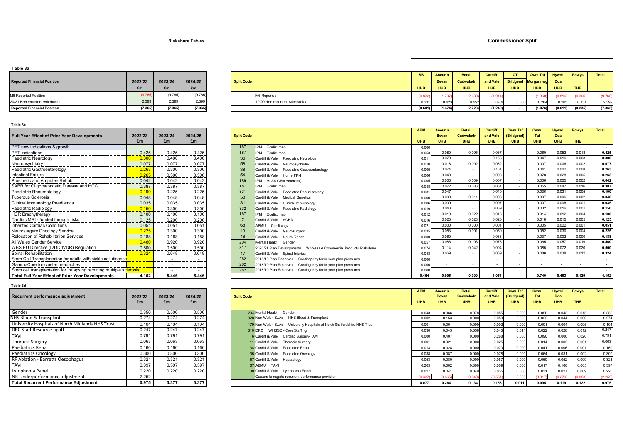## **Riskshare Tables Commissioner Split**

### **Table 3a**

| <b>Reported Financial Position</b> | 2022/23<br>£m | 2023/24<br>£m | 2024/25<br>£m |
|------------------------------------|---------------|---------------|---------------|
| M6 Reported Position               | (9.765)       | (9.765)       | (9.765)       |
| 20/21 Non recurrent writebacks     | 2.399         | 2.399         | 2.399         |
| <b>Reported Financial Position</b> | (7.365)       | (7.365)       | (7.365)       |

| .                                  |         |         |         |                   |                                |            |              |              |                             |            |               |         |              |              |
|------------------------------------|---------|---------|---------|-------------------|--------------------------------|------------|--------------|--------------|-----------------------------|------------|---------------|---------|--------------|--------------|
|                                    |         |         |         |                   |                                | <b>SB</b>  | Aneurin      | <b>Betsi</b> | <b>Cardiff</b>              | <b>CT</b>  | Cwm Taf Hywel |         | <b>Powys</b> | <b>Total</b> |
| <b>Reported Financial Position</b> | 2022/23 | 2023/24 | 2024/25 | <b>Split Code</b> |                                |            | <b>Bevan</b> | Cadwaladr    | and Vale Bridgend Morgannwg |            |               | Dda N   |              |              |
|                                    | £m      | £m      | £m      |                   |                                | <b>UHB</b> | <b>UHB</b>   | <b>UHB</b>   | <b>UHB</b>                  | <b>UHB</b> | <b>UHB</b>    | UHB     | <b>THB</b>   |              |
| M6 Reported Position               |         | (9.765) | (9.765) |                   | M6 Reported                    | (0.832)    | (1.797)      | (2.680)      | (1.914)                     |            |               | (0.816) |              | (9.765)      |
| 20/21 Non recurrent writebacks     | 2.399   | 2.399   | 2.399   |                   | 19/20 Non recurrent writebacks | 0.231      | 0.423        | 0.452        | 0.674                       | 0.000      | 0.284         | 0.205   | 0 131        | 2.399        |
| <b>Reported Financial Position</b> | (7.365) | (7.365) | (7.365) |                   |                                | (0.601)    | (1.374)      | (2.228)      | (1.240)                     |            | (1.076)       | (0.611) | (0.235)      | (7.365)      |
|                                    |         |         |         |                   |                                |            |              |              |                             |            |               |         |              |              |

### **Table 3c**

| <b>Full Year Effect of Prior Year Developments</b>                   | 2022/23<br>£m | 2023/24<br>£m | 2024/25<br>£m |
|----------------------------------------------------------------------|---------------|---------------|---------------|
| PET new indications & growth                                         |               |               |               |
| <b>PET</b> Indications                                               | 0.425         | 0.425         | 0.425         |
| Paediatric Neurology                                                 | 0.300         | 0.400         | 0.400         |
| Neuropsychiatry                                                      | 0.077         | 0.077         | 0.077         |
| Paediatric Gastroenterology                                          | 0.263         | 0.300         | 0.300         |
| <b>Intestinal Failure</b>                                            | 0.263         | 0.300         | 0.300         |
| Prosthetic and Amputee Rehab                                         | 0.042         | 0.042         | 0.042         |
| SABR for Oligometastatic Disease and HCC                             | 0.387         | 0.387         | 0.387         |
| Paediatric Rheumatology                                              | 0.190         | 0.225         | 0.225         |
| <b>Tuberous Sclerosis</b>                                            | 0.048         | 0.048         | 0.048         |
| <b>Clinical Immunology Paediatrics</b>                               | 0.035         | 0.035         | 0.035         |
| Paediatric Radiology                                                 | 0.150         | 0.300         | 0.300         |
| <b>HDR Brachytherapy</b>                                             | 0.100         | 0.100         | 0.100         |
| Cardiac MRI - funded through risks                                   | 0.125         | 0.200         | 0.200         |
| <b>Inherited Cardiac Conditions</b>                                  | 0.051         | 0.051         | 0.051         |
| Neurosurgery Oncology Service                                        | 0.225         | 0.300         | 0.300         |
| <b>Relocation of Rehabilitation Services</b>                         | 0.188         | 0.188         | 0.188         |
| All Wales Gender Service                                             | 0.460         | 0.920         | 0.920         |
| WBS EU Directive (IVDD/IVDR) Regulation                              | 0.500         | 0.500         | 0.500         |
| Spinal Rehabilitation                                                | 0.324         | 0.648         | 0.648         |
| Stem Cell Transplantation for adults with sickle cell disease        |               |               |               |
| GammaCore for cluster headaches                                      |               |               |               |
| Stem cell transplantation for relapsing remitting multiple sclerosis |               |               |               |
| <b>Total Full Year Effect of Prior Year Developments</b>             | 4.152         | 5.446         | 5.446         |

|                                                                      |         |                          |         |                   |                                                                   | <b>ABM</b>        | <b>Aneurin</b>           | <b>Betsi</b> | <b>Cardiff</b> | <b>Cwm Taf</b> | Cwm        | <b>Hywel</b> | <b>Powys</b> | <b>Total</b>   |
|----------------------------------------------------------------------|---------|--------------------------|---------|-------------------|-------------------------------------------------------------------|-------------------|--------------------------|--------------|----------------|----------------|------------|--------------|--------------|----------------|
| <b>Full Year Effect of Prior Year Developments</b>                   | 2022/23 | 2023/24                  | 2024/25 | <b>Split Code</b> |                                                                   |                   | <b>Bevan</b>             | Cadwaladr    | and Vale       | (Bridgend)     | <b>Taf</b> | <b>Dda</b>   |              |                |
|                                                                      | £m      | £m                       | £m      |                   |                                                                   | <b>UHB</b>        | <b>UHB</b>               | <b>UHB</b>   | <b>UHB</b>     | <b>UHB</b>     | <b>UHB</b> | <b>UHB</b>   | <b>THB</b>   |                |
| PET new indications & growth                                         |         |                          |         | 187               | Eculizumab<br><b>IPM</b>                                          | 0.000             |                          |              |                |                |            |              |              | <b>Service</b> |
| <b>PET</b> Indications                                               | 0.425   | 0.425                    | 0.425   | 187               | IPM Eculizumab                                                    | 0.053             | 0.080                    | 0.095        | 0.067          |                | 0.060      | 0.052        | 0.018        | 0.425          |
| Paediatric Neurology                                                 | 0.300   | 0.400                    | 0.400   | 36                | Cardiff & Vale Paediatric Neurology                               | 0.011             | 0.070                    |              | 0.153          |                | 0.047      | 0.016        | 0.003        | 0.300          |
| Neuropsychiatry                                                      | 0.077   | 0.077                    | 0.077   | 58                | Cardiff & Vale Neuropsychiatry                                    | 0.010             | 0.018                    | 0.002        | 0.032          |                | 0.007      | 0.006        | 0.002        | 0.077          |
| Paediatric Gastroenterology                                          | 0.263   | 0.300                    | 0.300   |                   | Cardiff & Vale Paediatric Gastroenterology                        | 0.005             | 0.074                    |              | 0.131          |                | 0.041      | 0.002        | 0.008        | 0.263          |
| <b>Intestinal Failure</b>                                            | 0.263   | 0.300                    | 0.300   |                   | Cardiff & Vale Home TPN                                           | 0.006             | 0.049                    | $\sim$       | 0.096          |                | 0.078      | 0.028        | 0.005        | 0.263          |
| Prosthetic and Amputee Rehab                                         | 0.042   | 0.042                    | 0.042   | 189               | IPM ALAS (War veterans)                                           | 0.005             | 0.008                    | 0.009        | 0.007          |                | 0.006      | 0.005        | 0.002        | 0.042          |
| SABR for Oligometastatic Disease and HCC                             | 0.387   | 0.387                    | 0.387   | 187               | IPM Eculizumab                                                    | 0.048             | 0.072                    | 0.086        | 0.061          |                | 0.055      | 0.047        | 0.016        | 0.387          |
| Paediatric Rheumatology                                              | 0.190   | 0.225                    | 0.225   | 33 <sup>°</sup>   | Cardiff & Vale Paediatric Rheumatology                            | 0.03 <sup>′</sup> | 0.047                    |              | 0.040          |                | 0.036      | 0.031        | 0.005        | 0.190          |
| <b>Tuberous Sclerosis</b>                                            | 0.048   | 0.048                    | 0.048   |                   | Cardiff & Vale Medical Genetics                                   | 0.006             | 0.009                    | 0.011        | 0.008          |                | 0.007      | 0.006        | 0.002        | 0.048          |
| <b>Clinical Immunology Paediatrics</b>                               | 0.035   | 0.035                    | 0.035   |                   | Cardiff & Vale Clinical Immunology                                | 0.006             | 0.009                    |              | 0.007          |                | 0.007      | 0.006        | 0.001        | 0.035          |
| Paediatric Radiology                                                 | 0.150   | 0.300                    | 0.300   | 332               | Cardiff & Vale Paediatric Radiology                               | 0.019             | 0.043                    | $\sim$       | 0.039          |                | 0.032      | 0.016        | 0.001        | 0.150          |
| <b>HDR Brachytherapy</b>                                             | 0.100   | 0.100                    | 0.100   | 187               | IPM Eculizumab                                                    | 0.012             | 0.019                    | 0.022        | 0.016          |                | 0.014      | 0.012        | 0.004        | 0.100          |
| Cardiac MRI - funded through risks                                   | 0.125   | 0.200                    | 0.200   |                   | Cardiff & Vale ACHD                                               | 0.01              | 0.023                    | 0.028        | 0.020          |                | 0.018      | 0.015        | 0.005        | 0.125          |
| <b>Inherited Cardiac Conditions</b>                                  | 0.051   | 0.051                    | 0.051   | 68                | <b>ABMU</b><br>Cardiology                                         | $0.02^{\circ}$    | 0.000                    | 0.000        | 0.001          |                | 0.005      | 0.022        | 0.001        | 0.051          |
| Neurosurgery Oncology Service                                        | 0.225   | 0.300                    | 0.300   |                   | Cardiff & Vale Neurosurgery                                       | 0.035             | 0.053                    | 0.001        | 0.050          |                | 0.052      | 0.030        | 0.004        | 0.225          |
| <b>Relocation of Rehabilitation Services</b>                         | 0.188   | 0.188                    | 0.188   |                   | Cardiff & Vale Neuro Rehab                                        | 0.000             | 0.060                    |              | 0.088          |                | 0.037      | 0.002        | 0.000        | 0.188          |
| All Wales Gender Service                                             | 0.460   | 0.920                    | 0.920   | 204               | Mental Health Gender                                              | 0.057             | 0.086                    | 0.103        | 0.073          |                | 0.065      | 0.057        | 0.019        | 0.460          |
| WBS EU Directive (IVDD/IVDR) Regulation                              | 0.500   | 0.500                    | 0.500   | 317               | 2020/21 Plan Developments Mholesale Commercial Products Riskshare | 0.074             | 0.114                    | 0.042        | 0.094          |                | 0.085      | 0.072        | 0.020        | 0.500          |
| Spinal Rehabilitation                                                | 0.324   | 0.648                    | 0.648   |                   | Cardiff & Vale Spinal Iniuries                                    | 0.048             | 0.069                    | $\sim$       | 0.069          |                | 0.088      | 0.038        | 0.012        | 0.324          |
| Stem Cell Transplantation for adults with sickle cell disease        |         | $\overline{\phantom{a}}$ |         | 282               | 2018/19 Plan Reserves Contingency for in year plan pressures      | 0.000             |                          |              |                |                |            |              |              | $\sim$         |
| GammaCore for cluster headaches                                      |         | $\overline{a}$           | $\sim$  | 282               | 2018/19 Plan Reserves Contingency for in year plan pressures      | 0.000             | $\overline{\phantom{0}}$ | $\sim$       | $\sim$         |                |            |              |              | $\sim$         |
| Stem cell transplantation for relapsing remitting multiple sclerosis |         | $\sim$                   | $\sim$  | 282               | 2018/19 Plan Reserves Contingency for in year plan pressures      | 0.000             |                          | $\sim$       | $\sim$         |                |            |              |              | $\sim$         |
| <b>Total Full Year Effect of Prior Year Developments</b>             | 4.152   | 5.446                    | 5.446   |                   |                                                                   | 0.464             | 0.905                    | 0.399        | 1.051          |                | 0.740      | 0.463        | 0.129        | 4.152          |

#### **Table 3d**

| Recurrent performance adjustment                 | 2022/23<br>£m | 2023/24<br>£m | 2024/25<br>£m |
|--------------------------------------------------|---------------|---------------|---------------|
|                                                  |               |               |               |
| Gender                                           | 0.350         | 0.500         | 0.500         |
| NHS Blood & Transplant                           | 0.274         | 0.274         | 0.274         |
| University Hospitals of North Midlands NHS Trust | 0.104         | 0.104         | 0.104         |
| DRC Staff Resource uplift                        | 0.247         | 0.247         | 0.247         |
| <b>TAVI</b>                                      | 0.791         | 0.791         | 0.791         |
| <b>Thoracic Surgery</b>                          | 0.063         | 0.063         | 0.063         |
| <b>Paediatrics Renal</b>                         | 0.160         | 0.160         | 0.160         |
| Paediatrics Oncology                             | 0.300         | 0.300         | 0.300         |
| <b>RF Ablation - Barretts Oesophagus</b>         | 0.321         | 0.321         | 0.321         |
| <b>TAVI</b>                                      | 0.397         | 0.397         | 0.397         |
| Lymphoma Panel                                   | 0.220         | 0.220         | 0.220         |
| NR Underperformance adjustment                   | 2.252         |               |               |
| <b>Total Recurrent Performance Adiustment</b>    | 0.975         | 3.377         | 3.377         |

| -------                                          |         |         |         |                   |                                                                          |                |                |              |                |                |            |              |              |         |
|--------------------------------------------------|---------|---------|---------|-------------------|--------------------------------------------------------------------------|----------------|----------------|--------------|----------------|----------------|------------|--------------|--------------|---------|
|                                                  |         |         |         |                   |                                                                          | <b>ABM</b>     | <b>Aneurin</b> | <b>Betsi</b> | <b>Cardiff</b> | <b>Cwm Taf</b> | Cwm        | <b>Hywel</b> | <b>Powys</b> | Total   |
| Recurrent performance adjustment                 | 2022/23 | 2023/24 | 2024/25 | <b>Split Code</b> |                                                                          |                | <b>Bevan</b>   | Cadwaladr    | and Vale       | (Bridgend)     | Taf        | <b>Dda</b>   |              |         |
|                                                  | £m      | £m      | £m      |                   |                                                                          | <b>UHB</b>     | <b>UHB</b>     | <b>UHB</b>   | <b>UHB</b>     | <b>UHB</b>     | <b>UHB</b> | <b>UHB</b>   | <b>THB</b>   |         |
|                                                  |         |         |         |                   |                                                                          |                |                |              |                |                |            |              |              |         |
| Gender                                           | 0.350   | 0.500   | 0.500   |                   | 204 Mental Health Gender                                                 | 0.043          | 0.066          | 0.078        | 0.055          | 0.000          | 0.050      | 0.043        | 0.015        | 0.350   |
| NHS Blood & Transplant                           | 0.274   | 0.274   | 0.274   |                   | 320 Non Welsh SLAs NHS Blood & Transplant                                | 0.002          | 0.153          | 0.000        | 0.053          | 0.000          | 0.022      | 0.044        | 0.000        | 0.274   |
| University Hospitals of North Midlands NHS Trust | 0.104   | 0.104   | 0.104   |                   | 179 Non Welsh SLAs University Hospitals of North Staffordshire NHS Trust | $0.00^{\circ}$ | 0.001          | 0.000        | 0.002          | 0.000          | 0.001      | 0.004        | 0.095        | 0.104   |
| DRC Staff Resource uplift                        | 0.247   | 0.247   | 0.247   |                   | 310 DRC WHSSC - Core Staffing                                            | 0.030          | 0.045          | 0.056        | 0.043          | 0.011          | 0.022      | 0.028        | 0.012        | 0.247   |
| <b>TAVI</b>                                      | 0.791   | 0.791   | 0.791   |                   | 6 Cardiff & Vale Cardiac Surgery-TAVI                                    | 0.000          | 0.407          | 0.000        | 0.268          | 0.000          | 0.090      | 0.000        | 0.026        | 0.791   |
| <b>Thoracic Surgery</b>                          | 0.063   | 0.063   | 0.063   |                   | 11 Cardiff & Vale Thoracic Surgery                                       | 0.001          | 0.021          | 0.000        | 0.025          | 0.000          | 0.014      | 0.002        | 0.001        | 0.063   |
| Paediatrics Renal                                | 0.160   | 0.160   | 0.160   |                   | 34 Cardiff & Vale Paediatric Renal                                       | 0.013          | 0.028          | 0.000        | 0.070          | 0.000          | 0.041      | 0.006        | 0.001        | 0.160   |
| Paediatrics Oncology                             | 0.300   | 0.300   | 0.300   |                   | 35 Cardiff & Vale Paediatric Oncology                                    | 0.038          | 0.087          | 0.000        | 0.078          | 0.000          | 0.064      | 0.031        | 0.002        | 0.300   |
| RF Ablation - Barretts Oesophagus                | 0.321   | 0.321   | 0.321   |                   | 57 Cardiff & Vale Hepatology                                             | 0.053          | 0.080          | 0.000        | 0.067          | 0.000          | 0.060      | 0.052        | 0.009        | 0.321   |
| <b>TAVI</b>                                      | 0.397   | 0.397   | 0.397   |                   | 67 ABMU TAVI                                                             | 0.205          | 0.002          | 0.000        | 0.009          | 0.000          | 0.017      | 0.160        | 0.005        | 0.397   |
| Lymphoma Panel                                   | 0.220   | 0.220   | 0.220   |                   | 30 Cardiff & Vale Lymphoma Panel                                         | 0.027          | 0.041          | 0.049        | 0.035          | 0.000          | 0.031      | 0.027        | 0.009        | 0.220   |
| NR Underperformance adjustment                   | 2.252   |         |         |                   | Custom to negate recurrent performance provision                         | (0.337)        | (0.665)        | (0.049)      | (0.551)        | 0.000          | (0.317)    | (0.279)      | (0.053)      | (2.252) |
| <b>Total Recurrent Performance Adjustment</b>    | 0.975   | 3.377   | 3.377   |                   |                                                                          | 0.077          | 0.264          | 0.134        | 0.153          | 0.011          | 0.095      | 0.119        | 0.122        | 0.975   |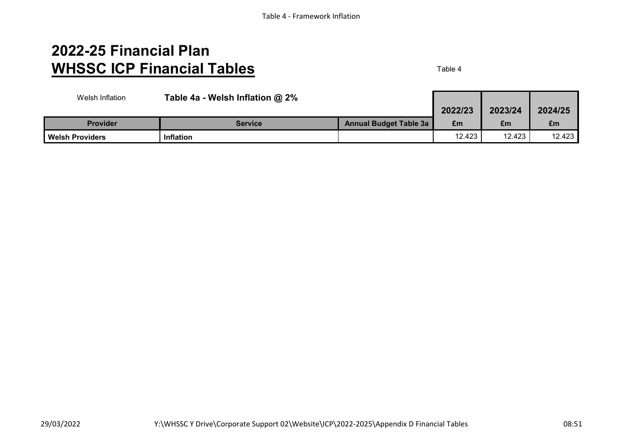# **2022-25 Financial Plan WHSSC ICP Financial Tables** Table 4

| Welsh Inflation        | Table 4a - Welsh Inflation @ 2% |                               |         |         |         |
|------------------------|---------------------------------|-------------------------------|---------|---------|---------|
|                        |                                 |                               | 2022/23 | 2023/24 | 2024/25 |
| <b>Provider</b>        | Service                         | <b>Annual Budget Table 3a</b> | £m      | £m      | £m      |
| <b>Welsh Providers</b> | <b>Inflation</b>                |                               | 12.423  | 12.423  | 12.423  |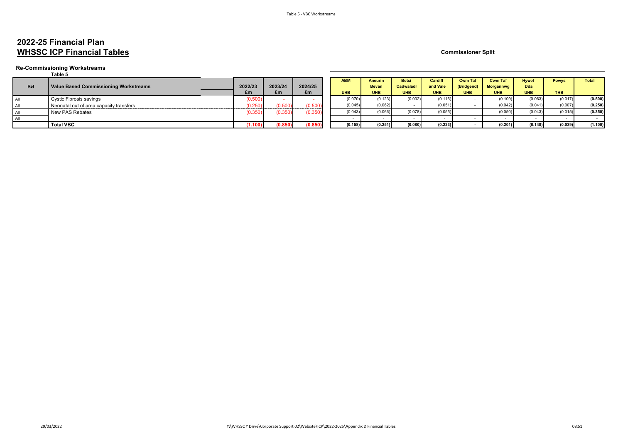## **2022-25 Financial Plan WHSSC ICP Financial Tables Commissioner Split Commissioner Split**

#### **Re-Commissioning Workstreams**

#### **Table 5**

| Ref | Value Based Commissioning Workstreams   | 2022/23       | 2023/24 | 2024/25                             | <b>ABM</b> | Aneurin<br><b>Bevan</b> | <b>Betsi</b><br>Cadwaladr | Cardiff<br>and Vale | <b>Cwm Taf</b><br>(Bridgend) | <b>Cwm Taf</b><br><b>Morgannwg</b> | <b>Hywel</b><br>Dda | <b>Powys</b> | <b>Total</b> |
|-----|-----------------------------------------|---------------|---------|-------------------------------------|------------|-------------------------|---------------------------|---------------------|------------------------------|------------------------------------|---------------------|--------------|--------------|
|     |                                         | £m            | £m      | £m                                  | <b>UHB</b> | <b>UHB</b>              | <b>UHB</b>                | <b>UHB</b>          | <b>UHB</b>                   | <b>UHB</b>                         | <b>UHB</b>          | <b>THB</b>   |              |
|     | Cystic Fibrosis savings                 | 20.50         |         |                                     | (0.070)    | (0.123)                 | (0.002)                   | (0.116)             |                              | (0.109)                            | (0.063)             | (0.017)      | (0.500)      |
|     | Neonatal out of area capacity transfers | -----------   |         | 0.50<br>and the company's company's | (0.045)    | (0.062)                 |                           | (0.051)             |                              | (0.042)                            | (0.041)             | (0.007)      | (0.250)      |
|     | New PAS Rebates                         | ------------- |         | 0.350                               | (0.043)    | (0.066)                 | (0.078)                   | (0.055,             |                              | (0.050)                            | (0.043)             | (0.015)      | (0.350)      |
|     |                                         |               |         |                                     |            |                         |                           |                     |                              |                                    |                     |              |              |
|     | <b>Total VBC</b>                        |               | (0.850) | (0.850)                             | (0.158)    | (0.251)                 | (0.080)                   | (0.223)             |                              | (0.201)                            | (0.148)             | (0.039)      | (1.100)      |

| 22/23   | 2023/24 | 2024/25 | <b>ABM</b> | <b>Aneurin</b><br><b>Bevan</b> | <b>Betsi</b><br><b>Cadwaladr</b> | Cardiff<br>and Vale | <b>Cwm Taf</b><br>(Bridgend) | <b>Cwm Taf</b><br><b>Morgannwg</b> | <b>Hywel</b><br><b>Dda</b> | <b>Powys</b> | <b>Total</b> |
|---------|---------|---------|------------|--------------------------------|----------------------------------|---------------------|------------------------------|------------------------------------|----------------------------|--------------|--------------|
| £m      | £m      | £m      | <b>UHB</b> | <b>UHB</b>                     | <b>UHB</b>                       | <b>UHB</b>          | <b>UHB</b>                   | <b>UHB</b>                         | <b>UHB</b>                 | THB          |              |
| (0.500) |         |         | (0.070)    | (0.123)                        | (0.002)                          | (0.116)             |                              | (0.109)                            | (0.063)                    | (0.017)      | (0.500)      |
| (0.250) | (0.500) | (0.500) | (0.045)    | (0.062)                        |                                  | (0.051)             |                              | (0.042)                            | (0.041)                    | (0.007)      | (0.250)      |
| (0.350) | (0.350) | (0.350) | (0.043)    | (0.066)                        | (0.078)                          | (0.055)             |                              | (0.050)                            | (0.043)                    | (0.015)      | (0.350)      |
|         |         |         |            |                                |                                  |                     |                              |                                    |                            |              |              |
| (1.100) | (0.850) | (0.850) | (0.158)    | (0.251)                        | (0.080)                          | (0.223)             |                              | (0.201)                            | (0.148)                    | (0.039)      | (1.100)      |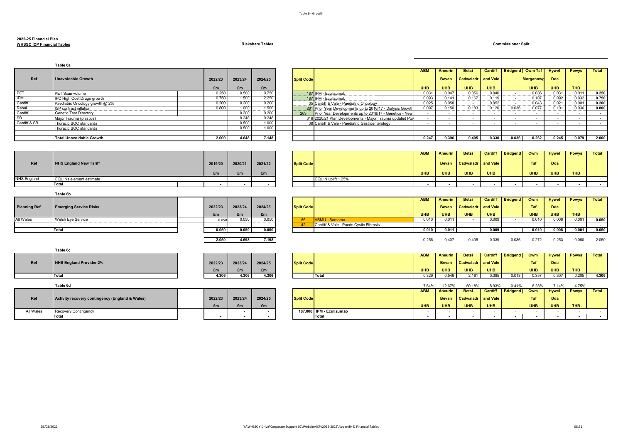## **2022-25 Financial Plan**

**WHSSC ICP Financial Tables Riskshare Tables Commissioner Split**

|                     | Table 6a                                        |                          |         |         |                   |                                                            | <b>ABM</b> | <b>Aneurin</b>           | <b>Betsi</b>             | Cardiff                  | <b>Bridgend</b> Cwm Taf  |                          | <b>Hywel</b>             | <b>Powys</b>             | Total            |
|---------------------|-------------------------------------------------|--------------------------|---------|---------|-------------------|------------------------------------------------------------|------------|--------------------------|--------------------------|--------------------------|--------------------------|--------------------------|--------------------------|--------------------------|------------------|
|                     |                                                 |                          |         |         |                   |                                                            |            |                          |                          |                          |                          |                          |                          |                          |                  |
| Ref                 | <b>Unavoidable Growth</b>                       | 2022/23                  | 2023/24 | 2024/25 | <b>Split Code</b> |                                                            |            | <b>Bevan</b>             | Cadwaladr                | and Vale                 |                          | <b>Morgannwd</b>         | <b>Dda</b>               |                          |                  |
|                     |                                                 | £m                       | £m      | £m      |                   |                                                            | <b>UHB</b> | <b>UHB</b>               | <b>UHB</b>               | <b>UHB</b>               |                          | <b>UHB</b>               | <b>UHB</b>               | <b>THB</b>               |                  |
| PET                 | PET Scan volume                                 | 0.250                    | 0.500   | 0.750   |                   | 187 IPM - Eculizumab                                       | 0.031      | 0.047                    | 0.056                    | 0.040                    | ÷.                       | 0.036                    | 0.031                    | 0.011                    | 0.250            |
| <b>IPM</b>          | IPC High Cost Drugs growth                      | 0.750                    | 1.500   | 2.250   |                   | 187 IPM - Eculizumab                                       | 0.093      | 0.141                    | 0.167                    | 0.119                    | $\sim$                   | 0.107                    | 0.092                    | 0.032                    | 0.750            |
| Cardiff             | Paediatric Oncology growth @ 2%                 | 0.200                    | 0.200   | 0.200   |                   | 35 Cardiff & Vale - Paediatric Oncology                    | 0.025      | 0.058                    |                          | 0.052                    |                          | 0.043                    | 0.021                    | 0.001                    | 0.200            |
| Renal               | ISP contract inflation                          | 0.800                    | 1.000   | 1.500   |                   | 261 Prior Year Developments up to 2016/17 - Dialysis Growt | 0.097      | 0.150                    | 0.183                    | 0.120                    | 0.036                    | 0.077                    | 0.101                    | 0.036                    | 0.800            |
| Cardiff             | Genetic Test Directory                          |                          | 0.200   | 0.200   | 263               | Prior Year Developments up to 2016/17 - Genetics - New     | $\sim$ $-$ | $\sim$                   | $\sim$                   | $\overline{\phantom{a}}$ | $\sim$                   | $\sim$                   | $\sim$                   | $\sim$                   | $\sim$           |
| <b>SB</b>           | Maior Trauma (plastics)                         |                          | 0.248   | 0.248   |                   | 316 2020/21 Plan Developments - Major Trauma updated Pov   | $\sim$     | $\sim$                   | $\overline{\phantom{a}}$ | $\sim$                   | $\sim$                   | $\sim$                   | $\sim$                   | $\sim$                   | $\sim$           |
| Cardiff & SB        | Thoracic SOC standards                          |                          | 0.500   | 1.000   |                   | 38 Cardiff & Vale - Paediatric Gastroenterology            | $\sim$     | $\sim$                   | $\sim$                   | $\overline{\phantom{a}}$ | $\overline{\phantom{a}}$ | $\sim$                   | $\overline{\phantom{a}}$ | $\sim$                   | $\sim$           |
|                     | Thoracic SOC standards                          |                          | 0.500   | 1.000   |                   |                                                            |            |                          |                          |                          |                          |                          |                          |                          |                  |
|                     |                                                 |                          |         |         |                   |                                                            |            |                          |                          |                          |                          |                          |                          |                          |                  |
|                     | <b>Total Unavoidable Growth</b>                 | 2.000                    | 4.648   | 7.148   |                   |                                                            | 0.247      | 0.396                    | 0.405                    | 0.330                    | 0.036                    | 0.262                    | 0.245                    | 0.079                    | 2.000            |
|                     |                                                 |                          |         |         |                   |                                                            |            |                          |                          |                          |                          |                          |                          |                          |                  |
|                     |                                                 |                          |         |         |                   |                                                            | <b>ABM</b> | <b>Aneurin</b>           | <b>Betsi</b>             | Cardiff                  | <b>Bridgend</b>          | Cwm                      | <b>Hywel</b>             | <b>Powys</b>             | Total            |
|                     |                                                 |                          |         |         |                   |                                                            |            |                          |                          |                          |                          |                          |                          |                          |                  |
| Ref                 | <b>NHS England New Tariff</b>                   | 2019/20                  | 2020/21 | 2021/22 | <b>Split Code</b> |                                                            |            | <b>Bevan</b>             | Cadwaladr                | and Vale                 |                          | Taf                      | <b>Dda</b>               |                          |                  |
|                     |                                                 |                          |         |         |                   |                                                            |            |                          |                          |                          |                          |                          |                          |                          |                  |
|                     |                                                 | £m                       | £m      | £m      |                   |                                                            | <b>UHB</b> | <b>UHB</b>               | <b>UHB</b>               | <b>UHB</b>               |                          | <b>UHB</b>               | <b>UHB</b>               | <b>THB</b>               |                  |
| <b>NHS England</b>  | CQUINs element estimate                         |                          |         |         |                   | CQUIN uplift 1.25%                                         |            |                          |                          |                          |                          |                          |                          |                          | $\sim$ $-$       |
|                     | Total                                           | $\overline{\phantom{a}}$ |         |         |                   |                                                            | $\sim$     | $\overline{\phantom{a}}$ | $\overline{\phantom{a}}$ | $\overline{\phantom{a}}$ | $\overline{\phantom{a}}$ | $\overline{\phantom{a}}$ | $\overline{\phantom{a}}$ | $\overline{\phantom{a}}$ | $\sim$           |
|                     | Table 6b                                        |                          |         |         |                   |                                                            |            |                          |                          |                          |                          |                          |                          |                          |                  |
|                     |                                                 |                          |         |         |                   |                                                            | <b>ABM</b> | <b>Aneurin</b>           | <b>Betsi</b>             | Cardiff                  | <b>Bridgend</b>          | Cwm                      | <b>Hywel</b>             | <b>Powys</b>             | Total            |
| <b>Planning Ref</b> |                                                 |                          |         |         |                   |                                                            |            |                          |                          |                          |                          | Taf                      |                          |                          |                  |
|                     | <b>Emerging Service Risks</b>                   | 2022/23                  | 2023/24 | 2024/25 | <b>Split Code</b> |                                                            |            | <b>Bevan</b>             | Cadwaladı                | and Vale                 |                          |                          | Dda                      |                          |                  |
|                     |                                                 | £m                       | £m      | £m      |                   |                                                            | <b>UHB</b> | <b>UHB</b>               | <b>UHB</b>               | <b>UHB</b>               |                          | <b>UHB</b>               | <b>UHB</b>               | <b>THB</b>               |                  |
| All Wales           | Welsh Eye Service                               | 0.050                    | 0.050   | 0.050   | 86                | <b>ABMU - Sarcoma</b>                                      | 0.010      | 0.011                    | $\overline{\phantom{a}}$ | 0.009                    | $\sim$                   | 0.010                    | 0.008                    | 0.001                    | 0.050            |
|                     |                                                 |                          |         |         | 42                | Cardiff & Vale - Paeds Cystic Fibrosis                     | $\sim$     | $\sim$                   | $\overline{\phantom{a}}$ | $\sim$                   | $\overline{\phantom{a}}$ | $\sim$                   | $\overline{\phantom{a}}$ | $\sim$                   | $\sim$           |
|                     | Total                                           | 0.050                    | 0.050   | 0.050   |                   |                                                            | 0.010      | 0.011                    | $\sim$                   | 0.009                    | $\sim$                   | 0.010                    | 0.008                    | 0.001                    | 0.050            |
|                     |                                                 |                          |         |         |                   |                                                            |            |                          |                          |                          |                          |                          |                          |                          |                  |
|                     |                                                 | 2.050                    | 4.698   | 7.198   |                   |                                                            | 0.256      | 0.407                    | 0.405                    | 0.339                    | 0.036                    | 0.272                    | 0.253                    | 0.080                    | 2.050            |
|                     |                                                 |                          |         |         |                   |                                                            |            |                          |                          |                          |                          |                          |                          |                          |                  |
|                     | Table 6c                                        |                          |         |         |                   |                                                            |            |                          |                          |                          |                          |                          |                          |                          |                  |
|                     |                                                 |                          |         |         |                   |                                                            | <b>ABM</b> | <b>Aneurin</b>           | <b>Betsi</b>             | Cardiff                  | <b>Bridgend</b>          | Cwm                      | <b>Hywel</b>             | <b>Powys</b>             | Total            |
|                     |                                                 |                          |         |         |                   |                                                            |            |                          |                          |                          |                          |                          |                          |                          |                  |
| Ref                 | <b>NHS England Provider 2%</b>                  | 2022/23                  | 2023/24 | 2024/25 | <b>Split Code</b> |                                                            |            | <b>Bevan</b>             | Cadwaladr                | and Vale                 |                          | Taf                      | <b>Dda</b>               |                          |                  |
|                     |                                                 | £m                       | £m      | £m      |                   |                                                            | <b>UHB</b> | <b>UHB</b>               | <b>UHB</b>               | <b>UHB</b>               |                          | <b>UHB</b>               | <b>UHB</b>               | <b>THB</b>               |                  |
|                     | Total                                           | 4.306                    | 4.306   | 4.306   |                   | <b>Total</b>                                               | 0.329      | 0.546                    | 2.161                    | 0.385                    | 0.018                    | 0.357                    | 0.307                    | 0.205                    | 4.306            |
|                     |                                                 |                          |         |         |                   |                                                            |            |                          |                          |                          |                          |                          |                          |                          |                  |
|                     | Table 6d                                        |                          |         |         |                   |                                                            | 7.64%      | 12.67%                   | 50.18%                   | 8.93%                    | 0.41%                    | 8.28%                    | 7.14%                    | 4.75%                    |                  |
|                     |                                                 |                          |         |         |                   |                                                            | <b>ABM</b> | <b>Aneurin</b>           | <b>Betsi</b>             | Cardiff                  | <b>Bridgend</b>          | Cwm                      | <b>Hywel</b>             | <b>Powys</b>             | Total            |
|                     |                                                 |                          |         |         |                   |                                                            |            |                          |                          |                          |                          |                          |                          |                          |                  |
| Ref                 | Activity recovery contingency (England & Wales) | 2022/23                  | 2023/24 | 2024/25 | <b>Split Code</b> |                                                            |            | <b>Bevan</b>             | Cadwaladr                | and Vale                 |                          | Taf                      | Dda                      |                          |                  |
|                     |                                                 | £m                       | £m      | £m      |                   |                                                            | <b>UHB</b> | <b>UHB</b>               | <b>UHB</b>               | <b>UHB</b>               |                          | <b>UHB</b>               | <b>UHB</b>               | <b>THB</b>               |                  |
| All Wales           | <b>Recovery Contingency</b>                     |                          | $\sim$  | $\sim$  |                   | 187.000 IPM - Eculizumab                                   | $\sim$     | $\sim$                   | $\sim$                   | $\sim$                   | $\sim$                   | $\sim$                   | $\sim$                   | $\sim$                   | $\sim$           |
|                     | Total                                           | $\sim$                   | $\sim$  | $\sim$  |                   | Total                                                      | $\sim$     | $\sim$ $-$               | $\sim$                   | $\sim$                   | $\sim$                   | $\sim$                   | $\sim$                   | $\sim$                   | $\sim$ 100 $\mu$ |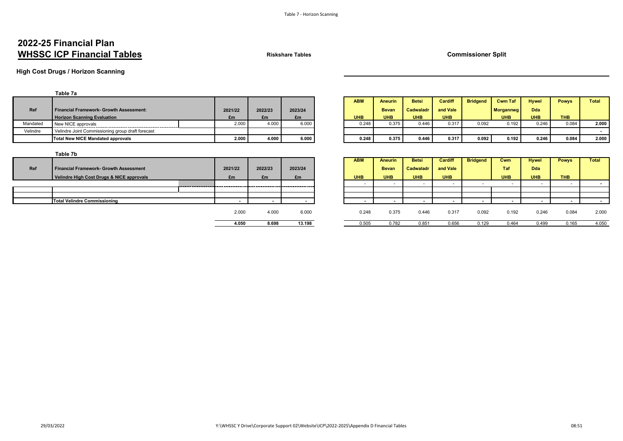## **2022-25 Financial Plan WHSSC ICP Financial Tables Riskshare Tables Commissioner Split**

**High Cost Drugs / Horizon Scanning**

|          | Table 7a                                          |         |         |         |            |                |              |            |                 |                  |              |              |              |
|----------|---------------------------------------------------|---------|---------|---------|------------|----------------|--------------|------------|-----------------|------------------|--------------|--------------|--------------|
|          |                                                   |         |         |         | <b>ABM</b> | <b>Aneurin</b> | <b>Betsi</b> | Cardiff    | <b>Bridgend</b> | <b>Cwm Taf</b>   | <b>Hywel</b> | <b>Powys</b> | <b>Total</b> |
| Ref      | Financial Framework- Growth Assessment:           | 2021/22 | 2022/23 | 2023/24 |            | <b>Bevan</b>   | Cadwaladr    | and Vale   |                 | <b>Morgannwg</b> | <b>Dda</b>   |              |              |
|          | <b>Horizon Scanning Evaluation</b>                | £m      | £m      | £m      | <b>UHB</b> | <b>UHB</b>     | <b>UHB</b>   | <b>UHB</b> |                 | UHB              | <b>UHB</b>   | <b>THB</b>   |              |
| Mandated | New NICE approvals                                | 2.000   | 4.00    | 6.000   | 0.248      | 0.375          | 0.446        | 0.317      | 0.092           | 0.192            | 0.246        | 0.084        | 2.000        |
| Velindre | Velindre Joint Commissioning group draft forecast |         |         |         |            |                |              |            |                 |                  |              |              |              |
|          | Total New NICE Mandated approvals                 | 2.000   | 4.000   | 6.000   | 0.248      | 0.375          | 0.446        | 0.317      | 0.092           | 0.192            | 0.246        | 0.084        | 2.000        |

| Table ra                                          |         |       |         |         |            |              |              |                |                 |                  |              |              |              |
|---------------------------------------------------|---------|-------|---------|---------|------------|--------------|--------------|----------------|-----------------|------------------|--------------|--------------|--------------|
|                                                   |         |       |         |         | <b>ABM</b> | Aneurin      | <b>Betsi</b> | <b>Cardiff</b> | <b>Bridgena</b> | <b>Cwm Tat</b>   | <b>Hywel</b> | <b>Powys</b> | <b>Total</b> |
| <b>Financial Framework- Growth Assessment:</b>    | 2021/22 |       | 2022/23 | 2023/24 |            | <b>Bevan</b> | Cadwalad     | and Vale       |                 | <b>Morgannwg</b> | <b>Dda</b>   |              |              |
| <b>Horizon Scanning Evaluation</b>                | £m      |       | £m      | £m      | <b>UHB</b> | <b>JHB</b>   | <b>UHB</b>   | <b>UHB</b>     |                 | <b>UHB</b>       | <b>UHB</b>   | <b>THB</b>   |              |
| New NICE approvals                                |         | 2.000 | 4.000   | 6.000   | 0.248      | 0.375        | 0.446        | 0.317          | 0.092           | 0.192            | 0.246        | 0.084        | 2.000        |
| Velindre Joint Commissioning group draft forecast |         |       |         |         |            |              |              |                |                 |                  |              |              |              |
| <b>Total New NICE Mandated approvals</b>          |         | 2.000 | 4.000   | 6.000   | 0.248      | 0.375        | 0.446        | 0.317          | 0.092           | 0.192            | 0.246        | 0.084        | 2.000        |

| --------                                      |         |         |                   |            |                |              |                |                 |            |              |              |              |
|-----------------------------------------------|---------|---------|-------------------|------------|----------------|--------------|----------------|-----------------|------------|--------------|--------------|--------------|
|                                               |         |         |                   | <b>ABM</b> | <b>Aneurin</b> | <b>Betsi</b> | <b>Cardiff</b> | <b>Bridgend</b> | Cwm        | <b>Hywel</b> | <b>Powys</b> | <b>Total</b> |
| <b>Financial Framework- Growth Assessment</b> | 2021/22 | 2022/23 | 2023/24           |            | <b>Bevan</b>   | Cadwaladr    | and Vale       |                 | <b>Taf</b> | <b>Dda</b>   |              |              |
| Velindre High Cost Drugs & NICE approvals     | £m      | £m      | £m                | <b>UHB</b> | <b>UHB</b>     | <b>UHB</b>   | <b>UHB</b>     |                 | <b>UHB</b> | <b>UHB</b>   | <b>THB</b>   |              |
|                                               |         |         | ----------------- |            |                |              |                |                 |            |              |              |              |
|                                               |         |         |                   |            |                |              |                |                 |            |              |              |              |
|                                               |         |         |                   |            |                |              |                |                 |            |              |              |              |
| Total Velindre Commissioning                  |         |         |                   |            |                |              |                |                 |            |              |              |              |
|                                               | 2.000   | 4.000   | 6.000             | 0.248      | 0.375          | 0.446        | 0.317          | 0.092           | 0.192      | 0.246        | 0.084        | 2.000        |
|                                               | 4.050   | 8.698   | 13.198            | 0.505      | 0.782          | 0.851        | 0.656          | 0.129           | 0.464      | 0.499        | 0.165        | 4.050        |

|     | Table 7b                                  |           |           |                          |            |                |                             |                      |                 |            |             |
|-----|-------------------------------------------|-----------|-----------|--------------------------|------------|----------------|-----------------------------|----------------------|-----------------|------------|-------------|
|     |                                           |           |           |                          | <b>ABM</b> | <b>Aneurin</b> | <b>Betsi</b>                | Cardiff              | <b>Bridgend</b> | Cwm        | <b>Hywe</b> |
| Ref | Financial Framework- Growth Assessment    | 2021/22   | 2022/23   | 2023/24                  |            | <b>Bevan</b>   | Cadwaladr                   | and Vale             |                 | Taf        | Dda         |
|     | Velindre High Cost Drugs & NICE approvals | £m        | £m        | £m                       | <b>UHB</b> | <b>UHB</b>     | <b>UHB</b>                  | <b>UHB</b>           |                 | <b>UHB</b> | UHE         |
|     |                                           |           |           |                          |            |                |                             |                      |                 |            |             |
|     |                                           |           |           |                          |            |                |                             |                      |                 |            |             |
|     |                                           |           |           |                          |            |                |                             |                      |                 |            |             |
|     | <b>Total Velindre Commissioning</b>       |           |           |                          |            |                |                             |                      |                 |            |             |
|     |                                           | 2.000     | 4.000     | 6.000                    | 0.248      | 0.375          | 0.446                       | 0.317                | 0.092           | 0.192      | 0           |
|     |                                           | $- - - -$ | $- - - -$ | $\overline{\phantom{a}}$ | $- - - -$  | $\sim$ $-\sim$ | $\sim$ $\sim$ $\sim$ $\sim$ | $\sim$ $\sim$ $\sim$ | $\sim$ $\sim$   | .          |             |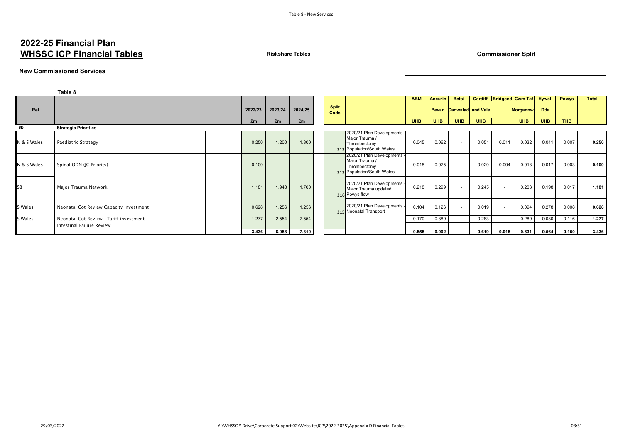## **2022-25 Financial Plan WHSSC ICP Financial Tables Riskshare Tables Commissioner Split**

#### **New Commissioned Services**

|             | Table 8                                 |         |         |         |                      |                                                                                             |            |              |              |                          |                                |                 |            |              |       |
|-------------|-----------------------------------------|---------|---------|---------|----------------------|---------------------------------------------------------------------------------------------|------------|--------------|--------------|--------------------------|--------------------------------|-----------------|------------|--------------|-------|
|             |                                         |         |         |         |                      |                                                                                             | <b>ABM</b> | Aneurin      | <b>Betsi</b> |                          | Cardiff Bridgend Cwm Taf Hywel |                 |            | <b>Powys</b> | Total |
| Ref         |                                         | 2022/23 | 2023/24 | 2024/25 | <b>Split</b><br>Code |                                                                                             |            | <b>Bevan</b> |              | <b>Cadwalad</b> and Vale |                                | <b>Morgannw</b> | <b>Dda</b> |              |       |
|             |                                         | £m      | £m      | £m      |                      |                                                                                             | <b>UHB</b> | <b>UHB</b>   | <b>UHB</b>   | <b>UHB</b>               |                                | <b>UHB</b>      | <b>UHB</b> | THB          |       |
| 8b          | <b>Strategic Priorities</b>             |         |         |         |                      |                                                                                             |            |              |              |                          |                                |                 |            |              |       |
| N & S Wales | Paediatric Strategy                     | 0.250   | 1.200   | 1.800   |                      | 2020/21 Plan Developments -<br>Major Trauma /<br>Thrombectomy<br>313 Population/South Wales | 0.045      | 0.062        | $\sim$       | 0.051                    | 0.011                          | 0.032           | 0.041      | 0.007        | 0.250 |
| N & S Wales | Spinal ODN (JC Priority)                | 0.100   |         |         |                      | 2020/21 Plan Developments -<br>Major Trauma /<br>Thrombectomy<br>313 Population/South Wales | 0.018      | 0.025        | $\sim$       | 0.020                    | 0.004                          | 0.013           | 0.017      | 0.003        | 0.100 |
| SB          | Major Trauma Network                    | 1.181   | 1.948   | 1.700   |                      | 2020/21 Plan Developments -<br>Major Trauma updated<br>316 Powys flow                       | 0.218      | 0.299        | $\sim$       | 0.245                    |                                | 0.203           | 0.198      | 0.017        | 1.181 |
| S Wales     | Neonatal Cot Review Capacity investment | 0.628   | 1.256   | 1.256   |                      | 2020/21 Plan Developments -<br>315 Neonatal Transport                                       | 0.104      | 0.126        | $\sim$       | 0.019                    |                                | 0.094           | 0.278      | 0.008        | 0.628 |
| S Wales     | Neonatal Cot Review - Tariff investment | 1.277   | 2.554   | 2.554   |                      |                                                                                             | 0.170      | 0.389        | $\sim$       | 0.283                    |                                | 0.289           | 0.030      | 0.116        | 1.277 |
|             | Intestinal Failure Review               |         |         |         |                      |                                                                                             |            |              |              |                          |                                |                 |            |              |       |
|             |                                         | 3.436   | 6.958   | 7.310   |                      |                                                                                             | 0.555      | 0.902        | $\sim$       | 0.619                    | 0.015                          | 0.631           | 0.564      | 0.150        | 3.436 |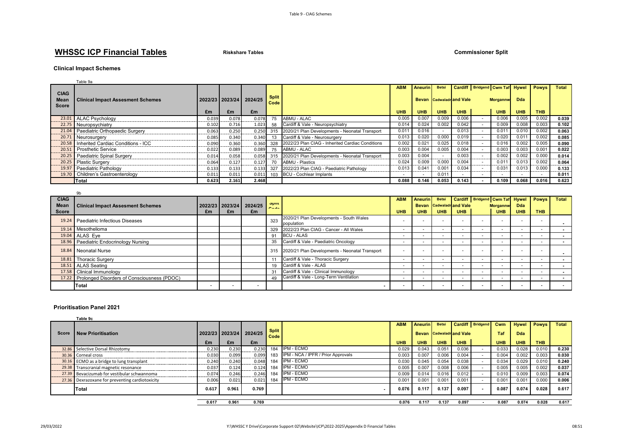## **WHSSC ICP Financial Tables Riskshare Tables Commissioner Split**

#### **Clinical Impact Schemes**

|                      | Table 9a                                 |                 |       |         |                      |                                                  |                          |                   |                                 |                |                                |                |                          |              |
|----------------------|------------------------------------------|-----------------|-------|---------|----------------------|--------------------------------------------------|--------------------------|-------------------|---------------------------------|----------------|--------------------------------|----------------|--------------------------|--------------|
| <b>CIAG</b>          |                                          |                 |       |         |                      |                                                  | <b>ABM</b>               | Aneurin           | <b>Betsi</b>                    |                | Cardiff Bridgend Cwm Taf Hywel |                | Powys '                  | <b>Total</b> |
| Mear<br><b>Score</b> | <b>Clinical Impact Assesment Schemes</b> | 2022/23 2023/24 |       | 2024/25 | <b>Split</b><br>Code |                                                  |                          |                   | <b>Bevan</b> Cadwaladr and Vale |                | <b>Morgannw</b>                | Dda            |                          |              |
|                      |                                          | £m              | £m    | £m      |                      |                                                  | <b>UHB</b>               | <b>UHB</b>        | <b>UHB</b>                      | <b>UHB</b>     | <b>UHB</b>                     | <b>UHB</b>     | <b>THB</b>               |              |
|                      | 23.01 ALAC Psychology                    | 0.039           | 0.078 | 0.078   | 75                   | ABMU - ALAC                                      | 0.005                    | 0.007             | 0.009                           | 0.006          | 0.006                          | 0.005          | 0.002                    | 0.039        |
|                      | 22.75 Neuropsychiatry                    | 0.102           | 0.716 | 1.023   | 58                   | Cardiff & Vale - Neuropsychiatry                 | 0.014                    | 0.024             | 0.002                           | 0.042          | 0.009                          | 0.008          | 0.003                    | 0.102        |
|                      | 21.04 Paediatric Orthopaedic Surgery     | 0.063           | 0.250 | 0.250   | 315                  | 2020/21 Plan Developments - Neonatal Transport   | 0.01                     | 0.016             |                                 | 0.013          | $0.01^{\circ}$                 | 0.010          | 0.002                    | 0.063        |
|                      | 20.71 Neurosurgery                       | 0.085           | 0.340 | 0.340   |                      | Cardiff & Vale - Neurosurgery                    | 0.013                    | 0.020             | 0.000                           | 0.019          | 0.020                          | 0.01           | 0.002                    | 0.085        |
|                      | 20.58 Inherited Cardiac Conditions - ICC | 0.090           | 0.360 | 0.360   | 328                  | 2022/23 Plan CIAG - Inherited Cardiac Conditions | 0.002                    | 0.02 <sup>2</sup> | 0.025                           | 0.018          | 0.016                          | 0.002          | 0.005                    | 0.090        |
|                      | 20.51 Prosthetic Service                 | 0.022           | 0.089 | 0.089   | 75                   | ABMU - ALAC                                      | 0.003                    | 0.004             | 0.005                           | 0.004          | 0.003                          | 0.003          | 0.001                    | 0.022        |
|                      | 20.25 Paediatric Spinal Surgery          | 0.014           | 0.058 | 0.058   | 315                  | 2020/21 Plan Developments - Neonatal Transport   | 0.003                    | 0.004             | $\sim$                          | 0.003          | 0.002                          | 0.002          | 0.000                    | 0.014        |
|                      | 20.25 Plastic Surgery                    | 0.064           | 0.127 | 0.127   | 70                   | <b>ABMU - Plastics</b>                           | 0.024                    | 0.009             | 0.000                           | 0.004          | 0.011                          | 0.013          | 0.002                    | 0.064        |
|                      | 19.97 Paediatric Pathology               | 0.133           | 0.133 | 0.133   | 327                  | 2022/23 Plan CIAG - Paediatric Pathology         | 0.013                    | $0.04^{\circ}$    | 0.001                           | 0.034          | 0.03 <sup>2</sup>              | 0.013          | 0.000                    | 0.133        |
|                      | 19.70 Children's Gastroenterology        | 0.011           | 0.011 | 0.011   | 103                  | <b>BCU - Cochlear Implants</b>                   | $\overline{\phantom{a}}$ |                   | 0.011                           | $\overline{a}$ |                                |                | $\overline{\phantom{a}}$ | 0.011        |
|                      | Total                                    | 0.623           | 2.161 | 2.468   |                      |                                                  | 0.088                    | 0.146             | 0.053                           | 0.143          | 0.109                          | $0.068$ $\mid$ | 0.016                    | 0.623        |

| <b>CIAG</b>  |                                                   |    |    |                         |                    |                                                    | <b>ABM</b>               | Aneurin Betsi            |                                |            |                          | Cardiff Bridgend Cwm Taf Hywel |            | <b>Powys</b>             | <b>Total</b> |
|--------------|---------------------------------------------------|----|----|-------------------------|--------------------|----------------------------------------------------|--------------------------|--------------------------|--------------------------------|------------|--------------------------|--------------------------------|------------|--------------------------|--------------|
| Mean         | <b>Clinical Impact Assesment Schemes</b>          |    |    | 2022/23 2023/24 2024/25 | opiit<br>$0 - 4 -$ |                                                    |                          |                          | <b>Bevan</b> Cadwaladrand Vale |            |                          | <b>Morgannw</b>                | <b>Dda</b> |                          |              |
| <b>Score</b> |                                                   | £m | £m | £m                      |                    |                                                    | UHB                      | <b>UHB</b>               | <b>UHB</b>                     | <b>UHB</b> |                          | <b>UHB</b>                     | <b>UHB</b> | <b>THB</b>               |              |
|              | 19.24 Paediatric Infectious Diseases              |    |    |                         | 323                | 2020/21 Plan Developments - South Wales            |                          |                          |                                |            |                          |                                |            |                          |              |
|              |                                                   |    |    |                         |                    | population                                         |                          |                          |                                |            |                          |                                |            |                          |              |
|              | 19.14 Mesothelioma                                |    |    |                         |                    | 329 2022/23 Plan CIAG - Cancer - All Wales         | . .                      |                          |                                |            |                          |                                |            | $\overline{\phantom{a}}$ |              |
|              | 19.04 ALAS Eye                                    |    |    |                         |                    | 91 BCU - ALAS                                      | $\overline{\phantom{a}}$ |                          | $\overline{\phantom{a}}$       |            |                          |                                |            | $\overline{\phantom{a}}$ |              |
|              | 18.96 Paediatric Endocrinology Nursing            |    |    |                         | 35                 | Cardiff & Vale - Paediatric Oncology               |                          |                          |                                |            |                          |                                |            |                          |              |
|              | 18.84 Neonatal Nurse                              |    |    |                         |                    | 315 2020/21 Plan Developments - Neonatal Transport |                          |                          |                                |            |                          |                                |            |                          |              |
|              | 18.81   Thoracic Surgery                          |    |    |                         |                    | Cardiff & Vale - Thoracic Surgery                  | . .                      |                          |                                |            |                          |                                |            |                          |              |
|              | 18.51 ALAS Seating                                |    |    |                         | 19                 | Cardiff & Vale - ALAS                              | . .                      |                          |                                |            |                          |                                |            |                          |              |
|              | 17.58 Clinical Immunology                         |    |    |                         | 31                 | Cardiff & Vale - Clinical Immunology               |                          | $\overline{\phantom{a}}$ |                                |            |                          |                                |            |                          |              |
|              | 17.22 Prolonged Disorders of Consciousness (PDOC) |    |    |                         | 49                 | Cardiff & Vale - Long-Term Ventilation             | . .                      | $\overline{\phantom{a}}$ |                                |            | $\overline{\phantom{a}}$ |                                | $\sim$     |                          |              |
|              | <b>Total</b>                                      |    |    |                         |                    | $\blacksquare$                                     | $\overline{\phantom{a}}$ |                          |                                |            |                          |                                |            |                          |              |

#### **Prioritisation Panel 2021**

 **Table 9c** 

|       |                                                 |       |                 |         |                      |                                    | <b>ABM</b> | Aneurin           | <b>Betsi</b>                   |            | Cardiff Bridgend | Cwm        | <b>Hywel</b> | <b>Powys</b> | <b>Total</b> |
|-------|-------------------------------------------------|-------|-----------------|---------|----------------------|------------------------------------|------------|-------------------|--------------------------------|------------|------------------|------------|--------------|--------------|--------------|
| Score | New Prioritisation                              |       | 2022/23 2023/24 | 2024/25 | <b>Split</b><br>Code |                                    |            |                   | <b>Bevan</b> Cadwaladrand Vale |            |                  | Taf        | Dda          |              |              |
|       |                                                 | £m    | £m              | £m      |                      |                                    | UHB        | <b>UHB</b>        | <b>UHB</b>                     | <b>UHB</b> |                  | <b>UHB</b> | <b>UHB</b>   | <b>THB</b>   |              |
|       | 32.86 Selective Dorsal Rhizotomy                | 0.230 | 0.230           | 0.230   | 184                  | <b>IPM - ECMO</b>                  | 0.029      | 0.043             | 0.051                          | 0.036      |                  | 0.033      | 0.028        | 0.010        | 0.230        |
|       | 30.36 Corneal cross                             | 0.030 | 0.099           | 0.099   | 183                  | IPM - NCA / IPFR / Prior Approvals | 0.003      | 0.007             | 0.006                          | 0.004      |                  | 0.004      | 0.002        | 0.003        | 0.030        |
|       | 30.16 ECMO as a bridge to lung transplant       | 0.240 | 0.240           | 0.048   | 184                  | IPM - ECMO                         | 0.030      | 0.045             | 0.054                          | 0.038      |                  | 0.034      | 0.029        | 0.010        | 0.240        |
|       | 29.38 Transcranial magnetic resonance           | 0.037 | 0.124           | 0.124   | 184                  | IPM - ECMO                         | 0.005      | 0.007             | 0.008                          | 0.006      |                  | 0.005      | 0.005        | 0.002        | 0.037        |
|       | 27.39 Bevacizumab for vestibular schwannoma     | 0.074 | 0.246           | 0.246   | 184                  | <b>IPM - ECMO</b>                  | 0.009      | 0.014             | 0.016                          | 0.012      |                  | 0.010      | 0.009        | 0.003        | 0.074        |
|       | 27.36 Dexrazoxane for preventing cardiotoxicity | 0.006 | 0.021           | 0.021   | 184                  | <b>IPM - ECMO</b>                  | 0.001      | 0.00 <sup>2</sup> | 0.001                          | 0.001      |                  | 0.001      | 0.001        | 0.000        | 0.006        |
|       | Total                                           | 0.617 | 0.961           | 0.769   |                      |                                    | 0.076      | 0.117             | 0.137                          | 0.097      |                  | 0.087      | 0.074        | 0.028        | 0.617        |
|       |                                                 |       |                 |         |                      |                                    |            |                   |                                |            |                  |            |              |              |              |
|       |                                                 | 0.617 | 0.961           | 0.769   |                      |                                    | 0.076      | 0.117             | 0.137                          | 0.097      |                  | 0.087      | 0.074        | 0.028        | 0.617        |